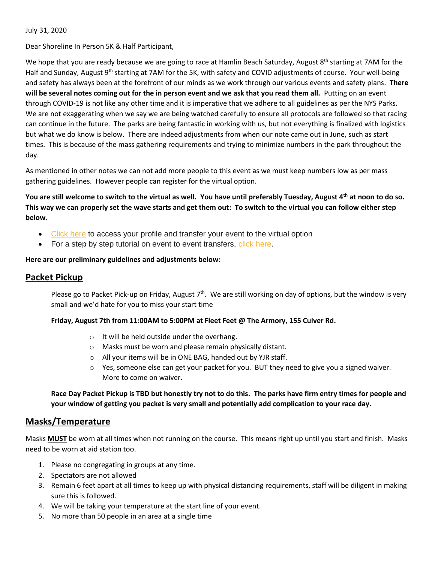July 31, 2020

Dear Shoreline In Person 5K & Half Participant,

We hope that you are ready because we are going to race at Hamlin Beach Saturday, August 8<sup>th</sup> starting at 7AM for the Half and Sunday, August 9<sup>th</sup> starting at 7AM for the 5K, with safety and COVID adjustments of course. Your well-being and safety has always been at the forefront of our minds as we work through our various events and safety plans. **There will be several notes coming out for the in person event and we ask that you read them all.** Putting on an event through COVID-19 is not like any other time and it is imperative that we adhere to all guidelines as per the NYS Parks. We are not exaggerating when we say we are being watched carefully to ensure all protocols are followed so that racing can continue in the future. The parks are being fantastic in working with us, but not everything is finalized with logistics but what we do know is below. There are indeed adjustments from when our note came out in June, such as start times. This is because of the mass gathering requirements and trying to minimize numbers in the park throughout the day.

As mentioned in other notes we can not add more people to this event as we must keep numbers low as per mass gathering guidelines. However people can register for the virtual option.

**You are still welcome to switch to the virtual as well. You have until preferably Tuesday, August 4th at noon to do so. This way we can properly set the wave starts and get them out: To switch to the virtual you can follow either step below.**

- [Click here](https://runsignup.com/Profile) to access your profile and transfer your event to the virtual option
- For a step by step tutorial on event to event transfers, [click here.](https://help.runsignup.com/support/solutions/articles/17000062922-transfer-to-another-event)

### **Here are our preliminary guidelines and adjustments below:**

### **Packet Pickup**

Please go to Packet Pick-up on Friday, August  $7<sup>th</sup>$ . We are still working on day of options, but the window is very small and we'd hate for you to miss your start time

### **Friday, August 7th from 11:00AM to 5:00PM at Fleet Feet @ The Armory, 155 Culver Rd.**

- o It will be held outside under the overhang.
- o Masks must be worn and please remain physically distant.
- o All your items will be in ONE BAG, handed out by YJR staff.
- $\circ$  Yes, someone else can get your packet for you. BUT they need to give you a signed waiver. More to come on waiver.

**Race Day Packet Pickup is TBD but honestly try not to do this. The parks have firm entry times for people and your window of getting you packet is very small and potentially add complication to your race day.**

### **Masks/Temperature**

Masks **MUST** be worn at all times when not running on the course. This means right up until you start and finish. Masks need to be worn at aid station too.

- 1. Please no congregating in groups at any time.
- 2. Spectators are not allowed
- 3. Remain 6 feet apart at all times to keep up with physical distancing requirements, staff will be diligent in making sure this is followed.
- 4. We will be taking your temperature at the start line of your event.
- 5. No more than 50 people in an area at a single time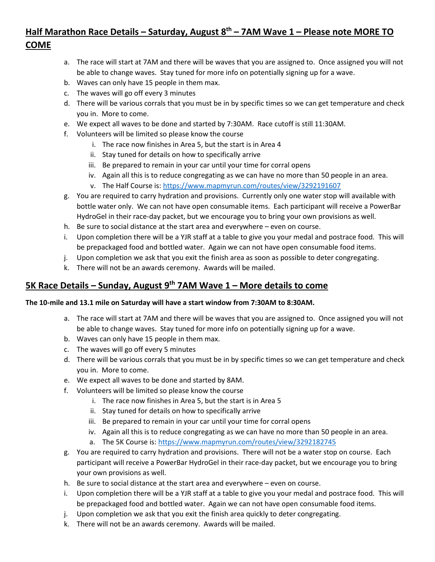# **Half Marathon Race Details – Saturday, August 8th – 7AM Wave 1 – Please note MORE TO COME**

- a. The race will start at 7AM and there will be waves that you are assigned to. Once assigned you will not be able to change waves. Stay tuned for more info on potentially signing up for a wave.
- b. Waves can only have 15 people in them max.
- c. The waves will go off every 3 minutes
- d. There will be various corrals that you must be in by specific times so we can get temperature and check you in. More to come.
- e. We expect all waves to be done and started by 7:30AM. Race cutoff is still 11:30AM.
- f. Volunteers will be limited so please know the course
	- i. The race now finishes in Area 5, but the start is in Area 4
	- ii. Stay tuned for details on how to specifically arrive
	- iii. Be prepared to remain in your car until your time for corral opens
	- iv. Again all this is to reduce congregating as we can have no more than 50 people in an area.
	- v. The Half Course is:<https://www.mapmyrun.com/routes/view/3292191607>
- g. You are required to carry hydration and provisions. Currently only one water stop will available with bottle water only. We can not have open consumable items. Each participant will receive a PowerBar HydroGel in their race-day packet, but we encourage you to bring your own provisions as well.
- h. Be sure to social distance at the start area and everywhere even on course.
- i. Upon completion there will be a YJR staff at a table to give you your medal and postrace food. This will be prepackaged food and bottled water. Again we can not have open consumable food items.
- j. Upon completion we ask that you exit the finish area as soon as possible to deter congregating.
- k. There will not be an awards ceremony. Awards will be mailed.

# **5K Race Details – Sunday, August 9th 7AM Wave 1 – More details to come**

### **The 10-mile and 13.1 mile on Saturday will have a start window from 7:30AM to 8:30AM.**

- a. The race will start at 7AM and there will be waves that you are assigned to. Once assigned you will not be able to change waves. Stay tuned for more info on potentially signing up for a wave.
- b. Waves can only have 15 people in them max.
- c. The waves will go off every 5 minutes
- d. There will be various corrals that you must be in by specific times so we can get temperature and check you in. More to come.
- e. We expect all waves to be done and started by 8AM.
- f. Volunteers will be limited so please know the course
	- i. The race now finishes in Area 5, but the start is in Area 5
	- ii. Stay tuned for details on how to specifically arrive
	- iii. Be prepared to remain in your car until your time for corral opens
	- iv. Again all this is to reduce congregating as we can have no more than 50 people in an area.
	- a. The 5K Course is[: https://www.mapmyrun.com/routes/view/3292182745](https://www.mapmyrun.com/routes/view/3292182745)
- g. You are required to carry hydration and provisions. There will not be a water stop on course. Each participant will receive a PowerBar HydroGel in their race-day packet, but we encourage you to bring your own provisions as well.
- h. Be sure to social distance at the start area and everywhere even on course.
- i. Upon completion there will be a YJR staff at a table to give you your medal and postrace food. This will be prepackaged food and bottled water. Again we can not have open consumable food items.
- j. Upon completion we ask that you exit the finish area quickly to deter congregating.
- k. There will not be an awards ceremony. Awards will be mailed.